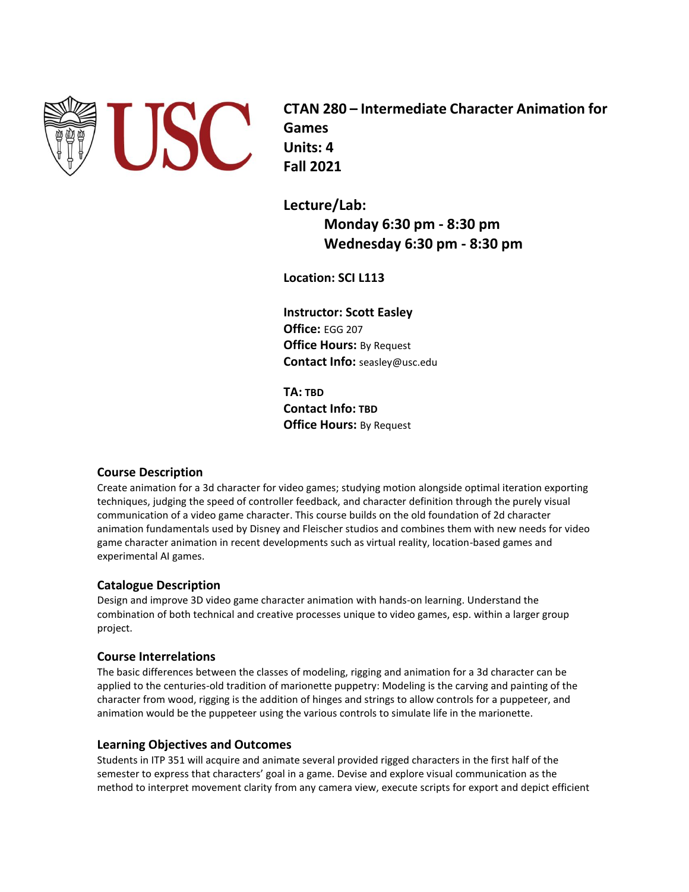

**CTAN 280 – Intermediate Character Animation for Games Units: 4 Fall 2021**

**Lecture/Lab: Monday 6:30 pm - 8:30 pm Wednesday 6:30 pm - 8:30 pm**

**Location: SCI L113**

**Instructor: Scott Easley Office:** EGG 207 **Office Hours:** By Request **Contact Info:** seasley@usc.edu

**TA: TBD Contact Info: TBD Office Hours: By Request** 

# **Course Description**

Create animation for a 3d character for video games; studying motion alongside optimal iteration exporting techniques, judging the speed of controller feedback, and character definition through the purely visual communication of a video game character. This course builds on the old foundation of 2d character animation fundamentals used by Disney and Fleischer studios and combines them with new needs for video game character animation in recent developments such as virtual reality, location-based games and experimental AI games.

# **Catalogue Description**

Design and improve 3D video game character animation with hands-on learning. Understand the combination of both technical and creative processes unique to video games, esp. within a larger group project.

# **Course Interrelations**

The basic differences between the classes of modeling, rigging and animation for a 3d character can be applied to the centuries-old tradition of marionette puppetry: Modeling is the carving and painting of the character from wood, rigging is the addition of hinges and strings to allow controls for a puppeteer, and animation would be the puppeteer using the various controls to simulate life in the marionette.

# **Learning Objectives and Outcomes**

Students in ITP 351 will acquire and animate several provided rigged characters in the first half of the semester to express that characters' goal in a game. Devise and explore visual communication as the method to interpret movement clarity from any camera view, execute scripts for export and depict efficient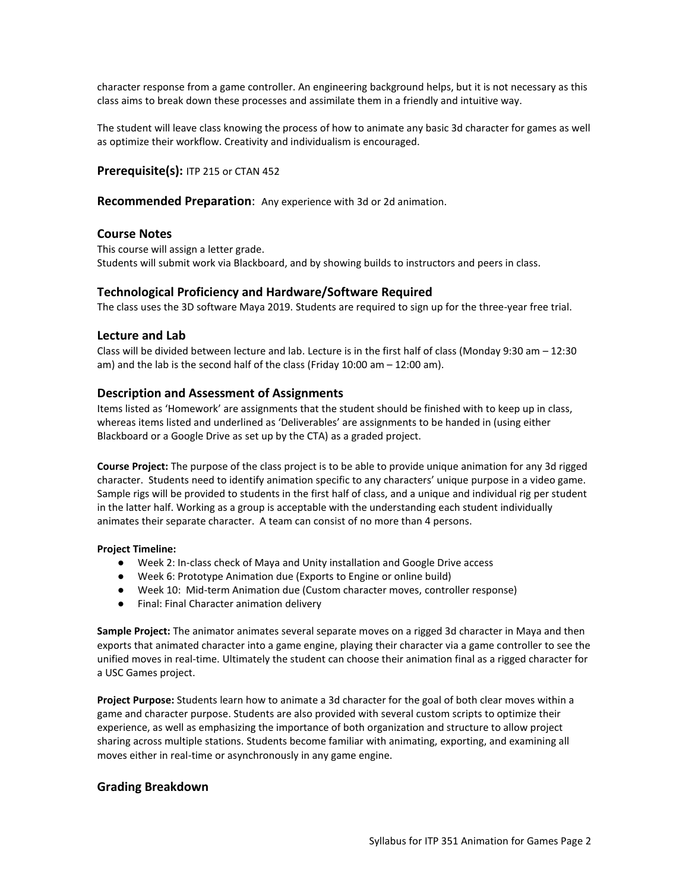character response from a game controller. An engineering background helps, but it is not necessary as this class aims to break down these processes and assimilate them in a friendly and intuitive way.

The student will leave class knowing the process of how to animate any basic 3d character for games as well as optimize their workflow. Creativity and individualism is encouraged.

**Prerequisite(s):** ITP 215 or CTAN 452

**Recommended Preparation**: Any experience with 3d or 2d animation.

### **Course Notes**

This course will assign a letter grade. Students will submit work via Blackboard, and by showing builds to instructors and peers in class.

### **Technological Proficiency and Hardware/Software Required**

The class uses the 3D software Maya 2019. Students are required to sign up for the three-year free trial.

### **Lecture and Lab**

Class will be divided between lecture and lab. Lecture is in the first half of class (Monday 9:30 am – 12:30 am) and the lab is the second half of the class (Friday 10:00 am – 12:00 am).

### **Description and Assessment of Assignments**

Items listed as 'Homework' are assignments that the student should be finished with to keep up in class, whereas items listed and underlined as 'Deliverables' are assignments to be handed in (using either Blackboard or a Google Drive as set up by the CTA) as a graded project.

**Course Project:** The purpose of the class project is to be able to provide unique animation for any 3d rigged character. Students need to identify animation specific to any characters' unique purpose in a video game. Sample rigs will be provided to students in the first half of class, and a unique and individual rig per student in the latter half. Working as a group is acceptable with the understanding each student individually animates their separate character. A team can consist of no more than 4 persons.

#### **Project Timeline:**

- Week 2: In-class check of Maya and Unity installation and Google Drive access
- Week 6: Prototype Animation due (Exports to Engine or online build)
- Week 10: Mid-term Animation due (Custom character moves, controller response)
- Final: Final Character animation delivery

**Sample Project:** The animator animates several separate moves on a rigged 3d character in Maya and then exports that animated character into a game engine, playing their character via a game controller to see the unified moves in real-time. Ultimately the student can choose their animation final as a rigged character for a USC Games project.

**Project Purpose:** Students learn how to animate a 3d character for the goal of both clear moves within a game and character purpose. Students are also provided with several custom scripts to optimize their experience, as well as emphasizing the importance of both organization and structure to allow project sharing across multiple stations. Students become familiar with animating, exporting, and examining all moves either in real-time or asynchronously in any game engine.

## **Grading Breakdown**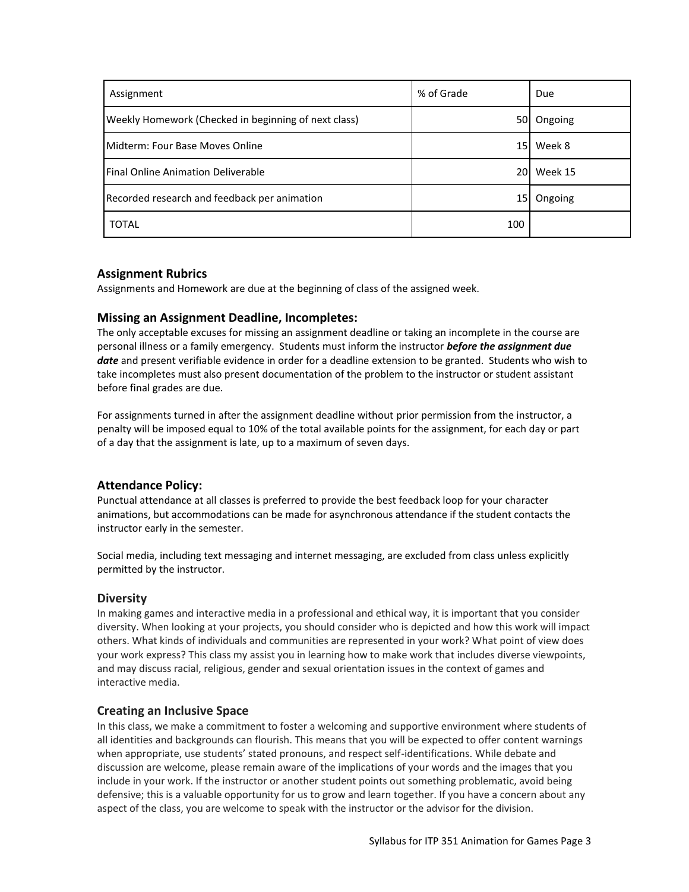| Assignment                                           | % of Grade | Due        |
|------------------------------------------------------|------------|------------|
| Weekly Homework (Checked in beginning of next class) |            | 50 Ongoing |
| <b>IMidterm: Four Base Moves Online</b>              | 15 I       | Week 8     |
| Final Online Animation Deliverable                   |            | 20 Week 15 |
| Recorded research and feedback per animation         | 15         | Ongoing    |
| <b>TOTAL</b>                                         | 100        |            |

# **Assignment Rubrics**

Assignments and Homework are due at the beginning of class of the assigned week.

## **Missing an Assignment Deadline, Incompletes:**

The only acceptable excuses for missing an assignment deadline or taking an incomplete in the course are personal illness or a family emergency. Students must inform the instructor *before the assignment due date* and present verifiable evidence in order for a deadline extension to be granted. Students who wish to take incompletes must also present documentation of the problem to the instructor or student assistant before final grades are due.

For assignments turned in after the assignment deadline without prior permission from the instructor, a penalty will be imposed equal to 10% of the total available points for the assignment, for each day or part of a day that the assignment is late, up to a maximum of seven days.

# **Attendance Policy:**

Punctual attendance at all classes is preferred to provide the best feedback loop for your character animations, but accommodations can be made for asynchronous attendance if the student contacts the instructor early in the semester.

Social media, including text messaging and internet messaging, are excluded from class unless explicitly permitted by the instructor.

# **Diversity**

In making games and interactive media in a professional and ethical way, it is important that you consider diversity. When looking at your projects, you should consider who is depicted and how this work will impact others. What kinds of individuals and communities are represented in your work? What point of view does your work express? This class my assist you in learning how to make work that includes diverse viewpoints, and may discuss racial, religious, gender and sexual orientation issues in the context of games and interactive media.

## **Creating an Inclusive Space**

In this class, we make a commitment to foster a welcoming and supportive environment where students of all identities and backgrounds can flourish. This means that you will be expected to offer content warnings when appropriate, use students' stated pronouns, and respect self-identifications. While debate and discussion are welcome, please remain aware of the implications of your words and the images that you include in your work. If the instructor or another student points out something problematic, avoid being defensive; this is a valuable opportunity for us to grow and learn together. If you have a concern about any aspect of the class, you are welcome to speak with the instructor or the advisor for the division.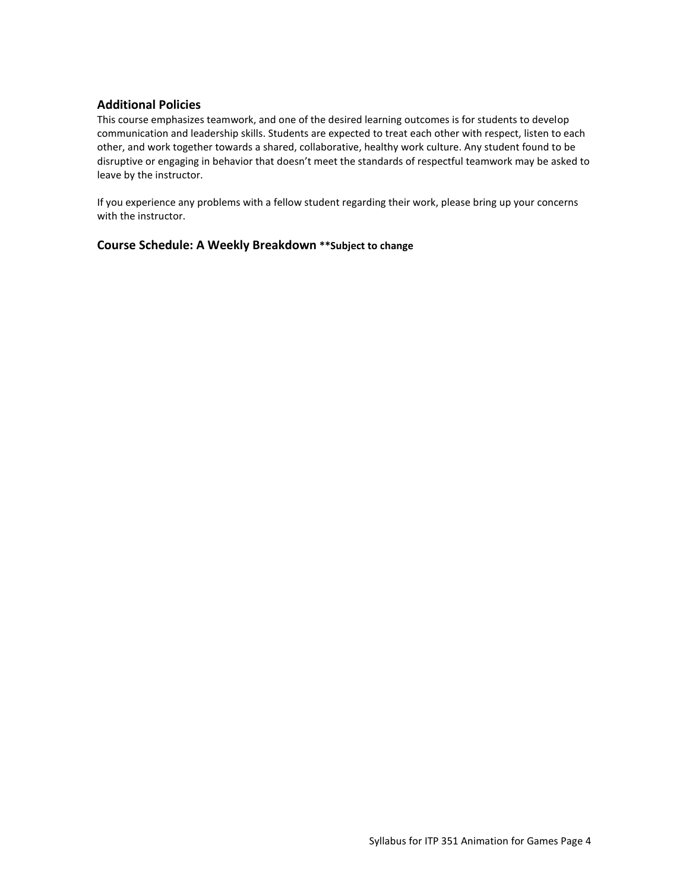# **Additional Policies**

This course emphasizes teamwork, and one of the desired learning outcomes is for students to develop communication and leadership skills. Students are expected to treat each other with respect, listen to each other, and work together towards a shared, collaborative, healthy work culture. Any student found to be disruptive or engaging in behavior that doesn't meet the standards of respectful teamwork may be asked to leave by the instructor.

If you experience any problems with a fellow student regarding their work, please bring up your concerns with the instructor.

## **Course Schedule: A Weekly Breakdown \*\*Subject to change**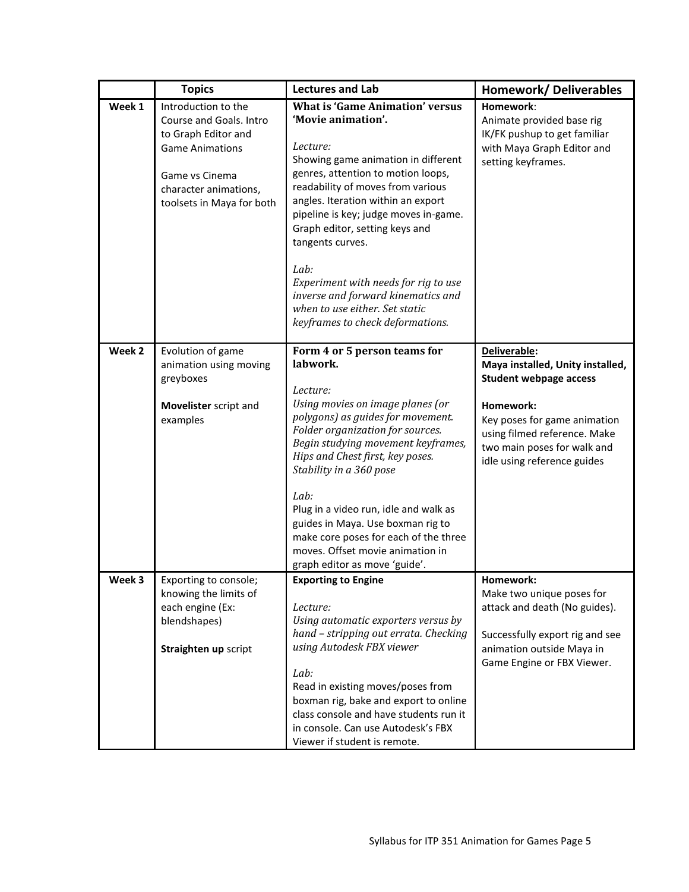|                   | <b>Topics</b>                                                                                                                                                           | <b>Lectures and Lab</b>                                                                                                                                                                                                                                                                                                                                                                                                                                                                     | <b>Homework/ Deliverables</b>                                                                                                                                                                                                |
|-------------------|-------------------------------------------------------------------------------------------------------------------------------------------------------------------------|---------------------------------------------------------------------------------------------------------------------------------------------------------------------------------------------------------------------------------------------------------------------------------------------------------------------------------------------------------------------------------------------------------------------------------------------------------------------------------------------|------------------------------------------------------------------------------------------------------------------------------------------------------------------------------------------------------------------------------|
| Week 1            | Introduction to the<br>Course and Goals. Intro<br>to Graph Editor and<br><b>Game Animations</b><br>Game vs Cinema<br>character animations,<br>toolsets in Maya for both | <b>What is 'Game Animation' versus</b><br>'Movie animation'.<br>Lecture:<br>Showing game animation in different<br>genres, attention to motion loops,<br>readability of moves from various<br>angles. Iteration within an export<br>pipeline is key; judge moves in-game.<br>Graph editor, setting keys and<br>tangents curves.<br>Lab:<br>Experiment with needs for rig to use<br>inverse and forward kinematics and<br>when to use either. Set static<br>keyframes to check deformations. | Homework:<br>Animate provided base rig<br>IK/FK pushup to get familiar<br>with Maya Graph Editor and<br>setting keyframes.                                                                                                   |
| Week <sub>2</sub> | Evolution of game<br>animation using moving<br>greyboxes<br>Movelister script and<br>examples                                                                           | Form 4 or 5 person teams for<br>labwork.<br>Lecture:<br>Using movies on image planes (or<br>polygons) as guides for movement.<br>Folder organization for sources.<br>Begin studying movement keyframes,<br>Hips and Chest first, key poses.<br>Stability in a 360 pose<br>Lab:<br>Plug in a video run, idle and walk as<br>guides in Maya. Use boxman rig to<br>make core poses for each of the three<br>moves. Offset movie animation in<br>graph editor as move 'guide'.                  | Deliverable:<br>Maya installed, Unity installed,<br><b>Student webpage access</b><br>Homework:<br>Key poses for game animation<br>using filmed reference. Make<br>two main poses for walk and<br>idle using reference guides |
| Week 3            | Exporting to console;<br>knowing the limits of<br>each engine (Ex:<br>blendshapes)<br>Straighten up script                                                              | <b>Exporting to Engine</b><br>Lecture:<br>Using automatic exporters versus by<br>hand - stripping out errata. Checking<br>using Autodesk FBX viewer<br>Lab:<br>Read in existing moves/poses from<br>boxman rig, bake and export to online<br>class console and have students run it<br>in console. Can use Autodesk's FBX<br>Viewer if student is remote.                                                                                                                                   | Homework:<br>Make two unique poses for<br>attack and death (No guides).<br>Successfully export rig and see<br>animation outside Maya in<br>Game Engine or FBX Viewer.                                                        |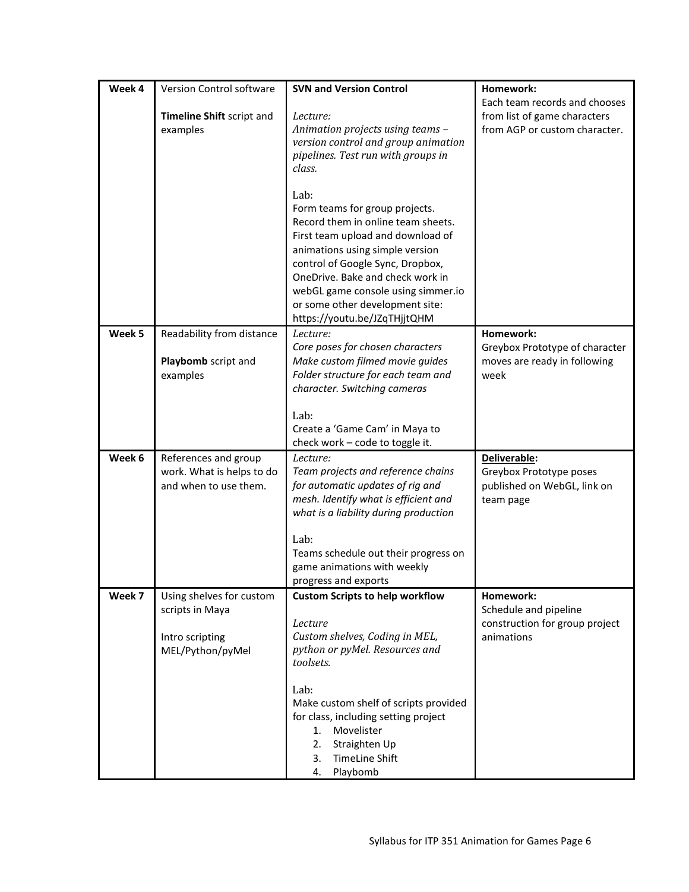| Week 4 | Version Control software              | <b>SVN and Version Control</b>                                           | Homework:                                                     |
|--------|---------------------------------------|--------------------------------------------------------------------------|---------------------------------------------------------------|
|        |                                       |                                                                          | Each team records and chooses                                 |
|        | Timeline Shift script and<br>examples | Lecture:<br>Animation projects using teams -                             | from list of game characters<br>from AGP or custom character. |
|        |                                       | version control and group animation                                      |                                                               |
|        |                                       | pipelines. Test run with groups in                                       |                                                               |
|        |                                       | class.                                                                   |                                                               |
|        |                                       | Lab:                                                                     |                                                               |
|        |                                       | Form teams for group projects.                                           |                                                               |
|        |                                       | Record them in online team sheets.                                       |                                                               |
|        |                                       | First team upload and download of                                        |                                                               |
|        |                                       | animations using simple version                                          |                                                               |
|        |                                       | control of Google Sync, Dropbox,                                         |                                                               |
|        |                                       | OneDrive. Bake and check work in                                         |                                                               |
|        |                                       | webGL game console using simmer.io<br>or some other development site:    |                                                               |
|        |                                       | https://youtu.be/JZqTHjjtQHM                                             |                                                               |
| Week 5 | Readability from distance             | Lecture:                                                                 | Homework:                                                     |
|        |                                       | Core poses for chosen characters                                         | Greybox Prototype of character                                |
|        | Playbomb script and                   | Make custom filmed movie guides                                          | moves are ready in following                                  |
|        | examples                              | Folder structure for each team and                                       | week                                                          |
|        |                                       | character. Switching cameras                                             |                                                               |
|        |                                       | Lab:                                                                     |                                                               |
|        |                                       | Create a 'Game Cam' in Maya to                                           |                                                               |
|        |                                       | check work - code to toggle it.                                          |                                                               |
| Week 6 | References and group                  | Lecture:                                                                 | Deliverable:                                                  |
|        | work. What is helps to do             | Team projects and reference chains                                       | Greybox Prototype poses                                       |
|        | and when to use them.                 | for automatic updates of rig and<br>mesh. Identify what is efficient and | published on WebGL, link on                                   |
|        |                                       | what is a liability during production                                    | team page                                                     |
|        |                                       |                                                                          |                                                               |
|        |                                       | Lab:                                                                     |                                                               |
|        |                                       | Teams schedule out their progress on                                     |                                                               |
|        |                                       | game animations with weekly<br>progress and exports                      |                                                               |
| Week 7 | Using shelves for custom              | <b>Custom Scripts to help workflow</b>                                   | Homework:                                                     |
|        | scripts in Maya                       |                                                                          | Schedule and pipeline                                         |
|        |                                       | Lecture                                                                  | construction for group project                                |
|        | Intro scripting                       | Custom shelves, Coding in MEL,                                           | animations                                                    |
|        | MEL/Python/pyMel                      | python or pyMel. Resources and                                           |                                                               |
|        |                                       | toolsets.                                                                |                                                               |
|        |                                       | Lab:                                                                     |                                                               |
|        |                                       | Make custom shelf of scripts provided                                    |                                                               |
|        |                                       | for class, including setting project                                     |                                                               |
|        |                                       | Movelister<br>1.                                                         |                                                               |
|        |                                       | 2.<br>Straighten Up                                                      |                                                               |
|        |                                       | <b>TimeLine Shift</b><br>3.<br>4.                                        |                                                               |
|        |                                       | Playbomb                                                                 |                                                               |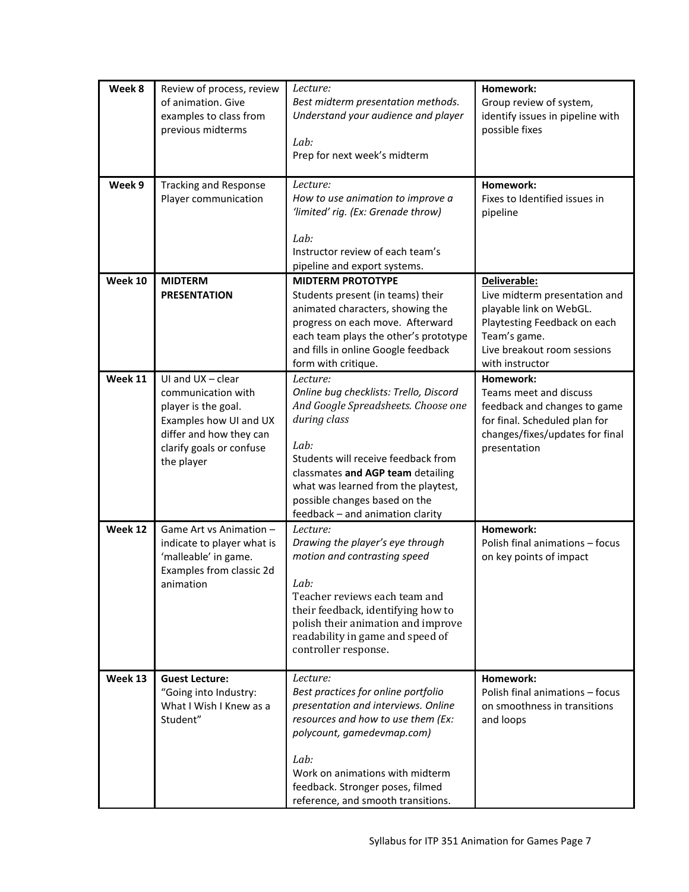| Week 8  | Review of process, review<br>of animation. Give<br>examples to class from<br>previous midterms                                                                  | Lecture:<br>Best midterm presentation methods.<br>Understand your audience and player<br>Lab:<br>Prep for next week's midterm                                                                                                                                                                             | Homework:<br>Group review of system,<br>identify issues in pipeline with<br>possible fixes                                                                                 |
|---------|-----------------------------------------------------------------------------------------------------------------------------------------------------------------|-----------------------------------------------------------------------------------------------------------------------------------------------------------------------------------------------------------------------------------------------------------------------------------------------------------|----------------------------------------------------------------------------------------------------------------------------------------------------------------------------|
| Week 9  | <b>Tracking and Response</b><br>Player communication                                                                                                            | Lecture:<br>How to use animation to improve a<br>'limited' rig. (Ex: Grenade throw)<br>Lab:<br>Instructor review of each team's<br>pipeline and export systems.                                                                                                                                           | Homework:<br>Fixes to Identified issues in<br>pipeline                                                                                                                     |
| Week 10 | <b>MIDTERM</b><br><b>PRESENTATION</b>                                                                                                                           | <b>MIDTERM PROTOTYPE</b><br>Students present (in teams) their<br>animated characters, showing the<br>progress on each move. Afterward<br>each team plays the other's prototype<br>and fills in online Google feedback<br>form with critique.                                                              | Deliverable:<br>Live midterm presentation and<br>playable link on WebGL.<br>Playtesting Feedback on each<br>Team's game.<br>Live breakout room sessions<br>with instructor |
| Week 11 | UI and $UX - clear$<br>communication with<br>player is the goal.<br>Examples how UI and UX<br>differ and how they can<br>clarify goals or confuse<br>the player | Lecture:<br>Online bug checklists: Trello, Discord<br>And Google Spreadsheets. Choose one<br>during class<br>Lab:<br>Students will receive feedback from<br>classmates and AGP team detailing<br>what was learned from the playtest,<br>possible changes based on the<br>feedback - and animation clarity | Homework:<br>Teams meet and discuss<br>feedback and changes to game<br>for final. Scheduled plan for<br>changes/fixes/updates for final<br>presentation                    |
| Week 12 | Game Art vs Animation -<br>indicate to player what is<br>'malleable' in game.<br>Examples from classic 2d<br>animation                                          | Lecture:<br>Drawing the player's eye through<br>motion and contrasting speed<br>Lab:<br>Teacher reviews each team and<br>their feedback, identifying how to<br>polish their animation and improve<br>readability in game and speed of<br>controller response.                                             | Homework:<br>Polish final animations - focus<br>on key points of impact                                                                                                    |
| Week 13 | <b>Guest Lecture:</b><br>"Going into Industry:<br>What I Wish I Knew as a<br>Student"                                                                           | Lecture:<br>Best practices for online portfolio<br>presentation and interviews. Online<br>resources and how to use them (Ex:<br>polycount, gamedevmap.com)<br>Lab:<br>Work on animations with midterm<br>feedback. Stronger poses, filmed<br>reference, and smooth transitions.                           | Homework:<br>Polish final animations - focus<br>on smoothness in transitions<br>and loops                                                                                  |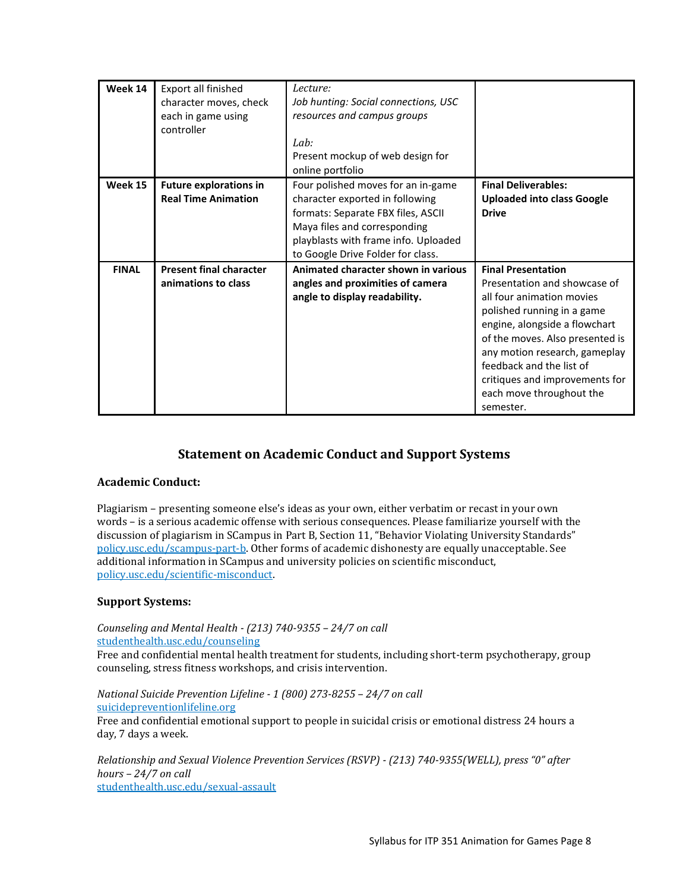| Week 14      | Export all finished            | Lecture:                             |                                   |
|--------------|--------------------------------|--------------------------------------|-----------------------------------|
|              | character moves, check         | Job hunting: Social connections, USC |                                   |
|              | each in game using             | resources and campus groups          |                                   |
|              | controller                     |                                      |                                   |
|              |                                | Lab:                                 |                                   |
|              |                                | Present mockup of web design for     |                                   |
|              |                                | online portfolio                     |                                   |
| Week 15      | <b>Future explorations in</b>  | Four polished moves for an in-game   | <b>Final Deliverables:</b>        |
|              | <b>Real Time Animation</b>     | character exported in following      | <b>Uploaded into class Google</b> |
|              |                                | formats: Separate FBX files, ASCII   | <b>Drive</b>                      |
|              |                                | Maya files and corresponding         |                                   |
|              |                                | playblasts with frame info. Uploaded |                                   |
|              |                                | to Google Drive Folder for class.    |                                   |
| <b>FINAL</b> | <b>Present final character</b> | Animated character shown in various  | <b>Final Presentation</b>         |
|              | animations to class            | angles and proximities of camera     | Presentation and showcase of      |
|              |                                | angle to display readability.        | all four animation movies         |
|              |                                |                                      | polished running in a game        |
|              |                                |                                      | engine, alongside a flowchart     |
|              |                                |                                      | of the moves. Also presented is   |
|              |                                |                                      | any motion research, gameplay     |
|              |                                |                                      | feedback and the list of          |
|              |                                |                                      | critiques and improvements for    |
|              |                                |                                      | each move throughout the          |
|              |                                |                                      | semester.                         |

# **Statement on Academic Conduct and Support Systems**

# **Academic Conduct:**

Plagiarism – presenting someone else's ideas as your own, either verbatim or recast in your own words – is a serious academic offense with serious consequences. Please familiarize yourself with the discussion of plagiarism in SCampus in Part B, Section 11, "Behavior Violating University Standards" [policy.usc.edu/scampus-part-b.](https://policy.usc.edu/scampus-part-b/) Other forms of academic dishonesty are equally unacceptable. See additional information in SCampus and university policies on scientific misconduct, [policy.usc.edu/scientific-misconduct.](http://policy.usc.edu/scientific-misconduct)

# **Support Systems:**

*Counseling and Mental Health - (213) 740-9355 – 24/7 on call* [studenthealth.usc.edu/counseling](https://studenthealth.usc.edu/counseling/)

Free and confidential mental health treatment for students, including short-term psychotherapy, group [co](https://engemannshc.usc.edu/counseling/)unseling, stress fitness workshops, and crisis intervention.

*National Suicide Prevention Lifeline - 1 (800) 273-8255 – 24/7 on call* [suicidepreventionlifeline.org](http://www.suicidepreventionlifeline.org/) Free and confidential emotional support to people in suicidal crisis or emotional distress 24 hours a day, 7 days a week.

*Relationship and Sexual Violence Prevention Services (RSVP) - (213) 740-9355(WELL), press "0" after hours – 24/7 on call* [studenthealth.usc.edu/sexual-assault](https://studenthealth.usc.edu/sexual-assault/)